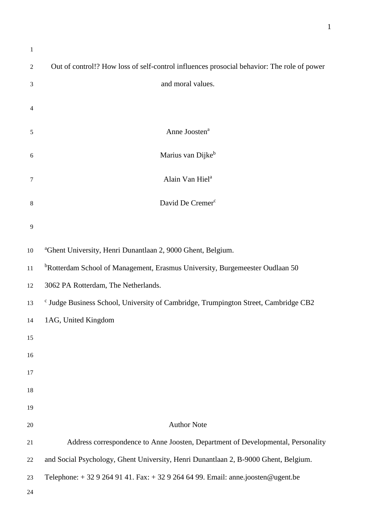| $\mathbf{1}$     |                                                                                                |
|------------------|------------------------------------------------------------------------------------------------|
| 2                | Out of control!? How loss of self-control influences prosocial behavior: The role of power     |
| 3                | and moral values.                                                                              |
| 4                |                                                                                                |
| 5                | Anne Joosten <sup>a</sup>                                                                      |
| $\boldsymbol{6}$ | Marius van Dijkeb                                                                              |
| 7                | Alain Van Hiel <sup>a</sup>                                                                    |
| 8                | David De Cremer <sup>c</sup>                                                                   |
| 9                |                                                                                                |
| 10               | <sup>a</sup> Ghent University, Henri Dunantlaan 2, 9000 Ghent, Belgium.                        |
| 11               | <sup>b</sup> Rotterdam School of Management, Erasmus University, Burgemeester Oudlaan 50       |
| 12               | 3062 PA Rotterdam, The Netherlands.                                                            |
| 13               | <sup>c</sup> Judge Business School, University of Cambridge, Trumpington Street, Cambridge CB2 |
| 14               | 1AG, United Kingdom                                                                            |
| 15               |                                                                                                |
| 16               |                                                                                                |
| 17               |                                                                                                |
| 18               |                                                                                                |
| 19               |                                                                                                |
| 20               | <b>Author Note</b>                                                                             |
| 21               | Address correspondence to Anne Joosten, Department of Developmental, Personality               |
| 22               | and Social Psychology, Ghent University, Henri Dunantlaan 2, B-9000 Ghent, Belgium.            |
| 23               | Telephone: $+3292649141$ . Fax: $+3292646499$ . Email: anne.joosten@ugent.be                   |
| 24               |                                                                                                |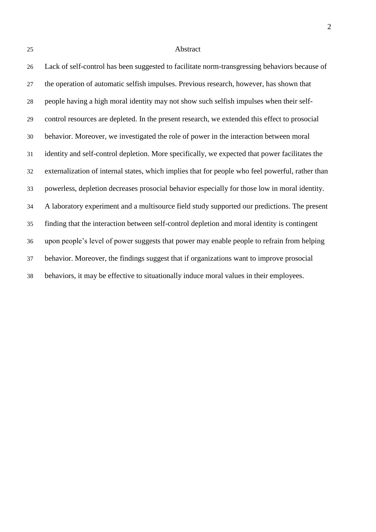#### Abstract

 Lack of self-control has been suggested to facilitate norm-transgressing behaviors because of the operation of automatic selfish impulses. Previous research, however, has shown that people having a high moral identity may not show such selfish impulses when their self- control resources are depleted. In the present research, we extended this effect to prosocial behavior. Moreover, we investigated the role of power in the interaction between moral identity and self-control depletion. More specifically, we expected that power facilitates the externalization of internal states, which implies that for people who feel powerful, rather than powerless, depletion decreases prosocial behavior especially for those low in moral identity. A laboratory experiment and a multisource field study supported our predictions. The present finding that the interaction between self-control depletion and moral identity is contingent upon people's level of power suggests that power may enable people to refrain from helping behavior. Moreover, the findings suggest that if organizations want to improve prosocial behaviors, it may be effective to situationally induce moral values in their employees.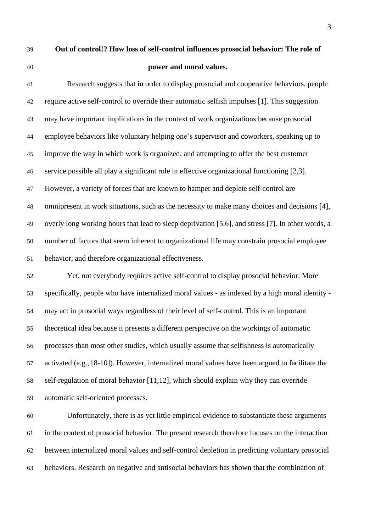# **Out of control!? How loss of self-control influences prosocial behavior: The role of power and moral values.**

 Research suggests that in order to display prosocial and cooperative behaviors, people require active self-control to override their automatic selfish impulses [1]. This suggestion may have important implications in the context of work organizations because prosocial employee behaviors like voluntary helping one's supervisor and coworkers, speaking up to improve the way in which work is organized, and attempting to offer the best customer service possible all play a significant role in effective organizational functioning [2,3]. However, a variety of forces that are known to hamper and deplete self-control are omnipresent in work situations, such as the necessity to make many choices and decisions [4], overly long working hours that lead to sleep deprivation [5,6], and stress [7]. In other words, a number of factors that seem inherent to organizational life may constrain prosocial employee behavior, and therefore organizational effectiveness.

 Yet, not everybody requires active self-control to display prosocial behavior. More specifically, people who have internalized moral values - as indexed by a high moral identity - may act in prosocial ways regardless of their level of self-control. This is an important theoretical idea because it presents a different perspective on the workings of automatic processes than most other studies, which usually assume that selfishness is automatically activated (e.g., [8-10]). However, internalized moral values have been argued to facilitate the self-regulation of moral behavior [11,12], which should explain why they can override automatic self-oriented processes.

 Unfortunately, there is as yet little empirical evidence to substantiate these arguments in the context of prosocial behavior. The present research therefore focuses on the interaction between internalized moral values and self-control depletion in predicting voluntary prosocial behaviors. Research on negative and antisocial behaviors has shown that the combination of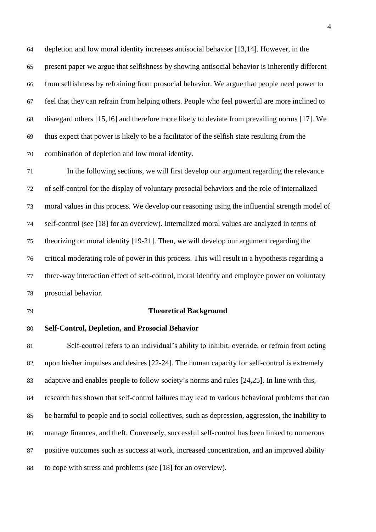depletion and low moral identity increases antisocial behavior [13,14]. However, in the present paper we argue that selfishness by showing antisocial behavior is inherently different from selfishness by refraining from prosocial behavior. We argue that people need power to feel that they can refrain from helping others. People who feel powerful are more inclined to disregard others [15,16] and therefore more likely to deviate from prevailing norms [17]. We thus expect that power is likely to be a facilitator of the selfish state resulting from the combination of depletion and low moral identity.

 In the following sections, we will first develop our argument regarding the relevance of self-control for the display of voluntary prosocial behaviors and the role of internalized moral values in this process. We develop our reasoning using the influential strength model of self-control (see [18] for an overview). Internalized moral values are analyzed in terms of theorizing on moral identity [19-21]. Then, we will develop our argument regarding the critical moderating role of power in this process. This will result in a hypothesis regarding a three-way interaction effect of self-control, moral identity and employee power on voluntary prosocial behavior.

#### **Theoretical Background**

#### **Self-Control, Depletion, and Prosocial Behavior**

 Self-control refers to an individual's ability to inhibit, override, or refrain from acting upon his/her impulses and desires [22-24]. The human capacity for self-control is extremely adaptive and enables people to follow society's norms and rules [24,25]. In line with this, research has shown that self-control failures may lead to various behavioral problems that can be harmful to people and to social collectives, such as depression, aggression, the inability to manage finances, and theft. Conversely, successful self-control has been linked to numerous positive outcomes such as success at work, increased concentration, and an improved ability to cope with stress and problems (see [18] for an overview).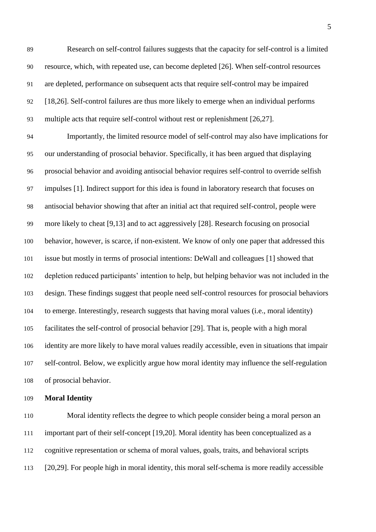Research on self-control failures suggests that the capacity for self-control is a limited resource, which, with repeated use, can become depleted [26]. When self-control resources are depleted, performance on subsequent acts that require self-control may be impaired [18,26]. Self-control failures are thus more likely to emerge when an individual performs multiple acts that require self-control without rest or replenishment [26,27].

 Importantly, the limited resource model of self-control may also have implications for our understanding of prosocial behavior. Specifically, it has been argued that displaying prosocial behavior and avoiding antisocial behavior requires self-control to override selfish impulses [1]. Indirect support for this idea is found in laboratory research that focuses on antisocial behavior showing that after an initial act that required self-control, people were more likely to cheat [9,13] and to act aggressively [28]. Research focusing on prosocial behavior, however, is scarce, if non-existent. We know of only one paper that addressed this issue but mostly in terms of prosocial intentions: DeWall and colleagues [1] showed that depletion reduced participants' intention to help, but helping behavior was not included in the design. These findings suggest that people need self-control resources for prosocial behaviors to emerge. Interestingly, research suggests that having moral values (i.e., moral identity) facilitates the self-control of prosocial behavior [29]. That is, people with a high moral identity are more likely to have moral values readily accessible, even in situations that impair self-control. Below, we explicitly argue how moral identity may influence the self-regulation of prosocial behavior.

**Moral Identity**

 Moral identity reflects the degree to which people consider being a moral person an important part of their self-concept [19,20]. Moral identity has been conceptualized as a cognitive representation or schema of moral values, goals, traits, and behavioral scripts [20,29]. For people high in moral identity, this moral self-schema is more readily accessible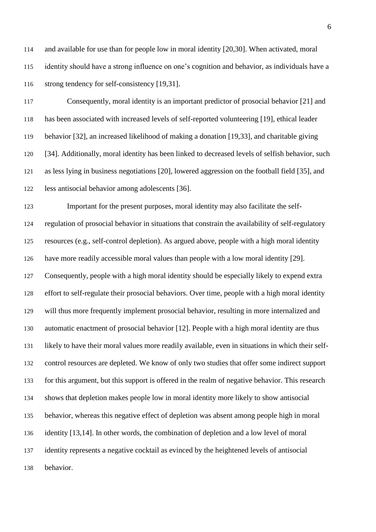and available for use than for people low in moral identity [20,30]. When activated, moral identity should have a strong influence on one's cognition and behavior, as individuals have a strong tendency for self-consistency [19,31].

 Consequently, moral identity is an important predictor of prosocial behavior [21] and has been associated with increased levels of self-reported volunteering [19], ethical leader behavior [32], an increased likelihood of making a donation [19,33], and charitable giving [34]. Additionally, moral identity has been linked to decreased levels of selfish behavior, such as less lying in business negotiations [20], lowered aggression on the football field [35], and less antisocial behavior among adolescents [36].

 Important for the present purposes, moral identity may also facilitate the self- regulation of prosocial behavior in situations that constrain the availability of self-regulatory resources (e.g., self-control depletion). As argued above, people with a high moral identity have more readily accessible moral values than people with a low moral identity [29]. Consequently, people with a high moral identity should be especially likely to expend extra effort to self-regulate their prosocial behaviors. Over time, people with a high moral identity will thus more frequently implement prosocial behavior, resulting in more internalized and automatic enactment of prosocial behavior [12]. People with a high moral identity are thus likely to have their moral values more readily available, even in situations in which their self- control resources are depleted. We know of only two studies that offer some indirect support for this argument, but this support is offered in the realm of negative behavior. This research shows that depletion makes people low in moral identity more likely to show antisocial behavior, whereas this negative effect of depletion was absent among people high in moral identity [13,14]. In other words, the combination of depletion and a low level of moral identity represents a negative cocktail as evinced by the heightened levels of antisocial behavior.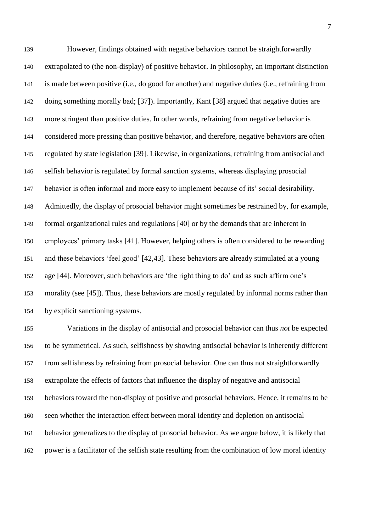However, findings obtained with negative behaviors cannot be straightforwardly extrapolated to (the non-display) of positive behavior. In philosophy, an important distinction is made between positive (i.e., do good for another) and negative duties (i.e., refraining from doing something morally bad; [37]). Importantly, Kant [38] argued that negative duties are more stringent than positive duties. In other words, refraining from negative behavior is considered more pressing than positive behavior, and therefore, negative behaviors are often regulated by state legislation [39]. Likewise, in organizations, refraining from antisocial and selfish behavior is regulated by formal sanction systems, whereas displaying prosocial behavior is often informal and more easy to implement because of its' social desirability. Admittedly, the display of prosocial behavior might sometimes be restrained by, for example, formal organizational rules and regulations [40] or by the demands that are inherent in employees' primary tasks [41]. However, helping others is often considered to be rewarding and these behaviors 'feel good' [42,43]. These behaviors are already stimulated at a young age [44]. Moreover, such behaviors are 'the right thing to do' and as such affirm one's morality (see [45]). Thus, these behaviors are mostly regulated by informal norms rather than by explicit sanctioning systems.

 Variations in the display of antisocial and prosocial behavior can thus *not* be expected to be symmetrical. As such, selfishness by showing antisocial behavior is inherently different from selfishness by refraining from prosocial behavior. One can thus not straightforwardly extrapolate the effects of factors that influence the display of negative and antisocial behaviors toward the non-display of positive and prosocial behaviors. Hence, it remains to be seen whether the interaction effect between moral identity and depletion on antisocial behavior generalizes to the display of prosocial behavior. As we argue below, it is likely that power is a facilitator of the selfish state resulting from the combination of low moral identity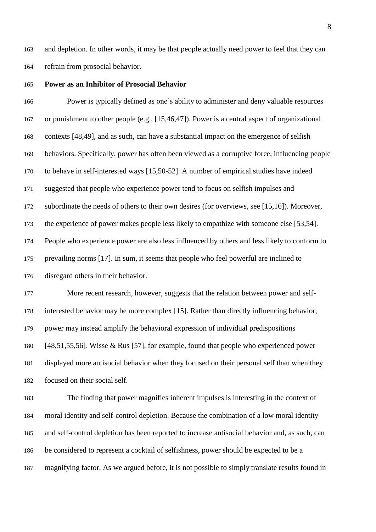and depletion. In other words, it may be that people actually need power to feel that they can refrain from prosocial behavior.

#### **Power as an Inhibitor of Prosocial Behavior**

 Power is typically defined as one's ability to administer and deny valuable resources or punishment to other people (e.g., [15,46,47]). Power is a central aspect of organizational contexts [48,49], and as such, can have a substantial impact on the emergence of selfish behaviors. Specifically, power has often been viewed as a corruptive force, influencing people to behave in self-interested ways [15,50-52]. A number of empirical studies have indeed suggested that people who experience power tend to focus on selfish impulses and subordinate the needs of others to their own desires (for overviews, see [15,16]). Moreover, the experience of power makes people less likely to empathize with someone else [53,54]. People who experience power are also less influenced by others and less likely to conform to prevailing norms [17]. In sum, it seems that people who feel powerful are inclined to disregard others in their behavior. More recent research, however, suggests that the relation between power and self- interested behavior may be more complex [15]. Rather than directly influencing behavior, power may instead amplify the behavioral expression of individual predispositions [48,51,55,56]. Wisse & Rus [57], for example, found that people who experienced power

 displayed more antisocial behavior when they focused on their personal self than when they focused on their social self.

 The finding that power magnifies inherent impulses is interesting in the context of moral identity and self-control depletion. Because the combination of a low moral identity and self-control depletion has been reported to increase antisocial behavior and, as such, can be considered to represent a cocktail of selfishness, power should be expected to be a magnifying factor. As we argued before, it is not possible to simply translate results found in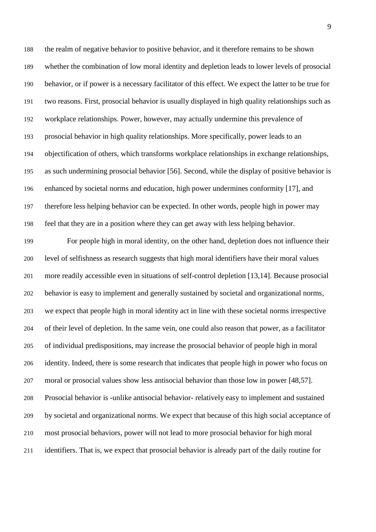the realm of negative behavior to positive behavior, and it therefore remains to be shown whether the combination of low moral identity and depletion leads to lower levels of prosocial behavior, or if power is a necessary facilitator of this effect. We expect the latter to be true for two reasons. First, prosocial behavior is usually displayed in high quality relationships such as workplace relationships. Power, however, may actually undermine this prevalence of prosocial behavior in high quality relationships. More specifically, power leads to an objectification of others, which transforms workplace relationships in exchange relationships, as such undermining prosocial behavior [56]. Second, while the display of positive behavior is enhanced by societal norms and education, high power undermines conformity [17], and therefore less helping behavior can be expected. In other words, people high in power may feel that they are in a position where they can get away with less helping behavior.

 For people high in moral identity, on the other hand, depletion does not influence their level of selfishness as research suggests that high moral identifiers have their moral values more readily accessible even in situations of self-control depletion [13,14]. Because prosocial behavior is easy to implement and generally sustained by societal and organizational norms, we expect that people high in moral identity act in line with these societal norms irrespective of their level of depletion. In the same vein, one could also reason that power, as a facilitator of individual predispositions, may increase the prosocial behavior of people high in moral identity. Indeed, there is some research that indicates that people high in power who focus on moral or prosocial values show less antisocial behavior than those low in power [48,57]. Prosocial behavior is -unlike antisocial behavior- relatively easy to implement and sustained by societal and organizational norms. We expect that because of this high social acceptance of most prosocial behaviors, power will not lead to more prosocial behavior for high moral identifiers. That is, we expect that prosocial behavior is already part of the daily routine for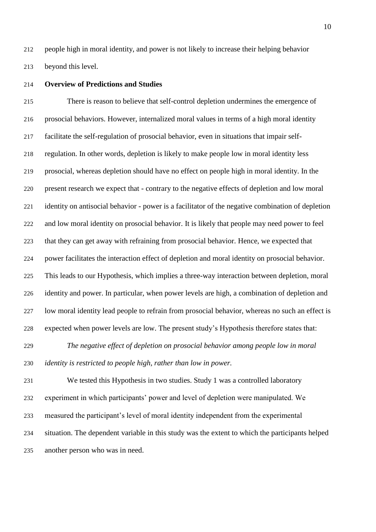people high in moral identity, and power is not likely to increase their helping behavior beyond this level.

#### **Overview of Predictions and Studies**

 There is reason to believe that self-control depletion undermines the emergence of prosocial behaviors. However, internalized moral values in terms of a high moral identity facilitate the self-regulation of prosocial behavior, even in situations that impair self- regulation. In other words, depletion is likely to make people low in moral identity less prosocial, whereas depletion should have no effect on people high in moral identity. In the present research we expect that - contrary to the negative effects of depletion and low moral identity on antisocial behavior - power is a facilitator of the negative combination of depletion and low moral identity on prosocial behavior. It is likely that people may need power to feel that they can get away with refraining from prosocial behavior. Hence, we expected that power facilitates the interaction effect of depletion and moral identity on prosocial behavior. This leads to our Hypothesis, which implies a three-way interaction between depletion, moral identity and power. In particular, when power levels are high, a combination of depletion and low moral identity lead people to refrain from prosocial behavior, whereas no such an effect is expected when power levels are low. The present study's Hypothesis therefore states that:

 *The negative effect of depletion on prosocial behavior among people low in moral identity is restricted to people high, rather than low in power.*

 We tested this Hypothesis in two studies. Study 1 was a controlled laboratory experiment in which participants' power and level of depletion were manipulated. We measured the participant's level of moral identity independent from the experimental situation. The dependent variable in this study was the extent to which the participants helped another person who was in need.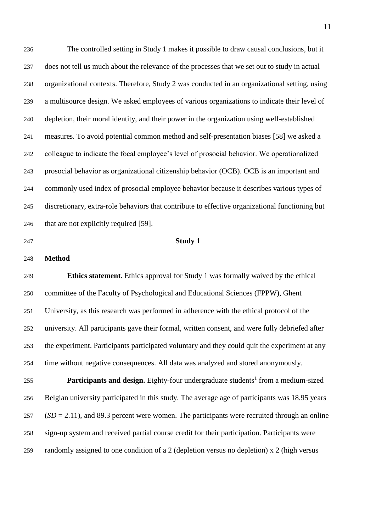The controlled setting in Study 1 makes it possible to draw causal conclusions, but it does not tell us much about the relevance of the processes that we set out to study in actual organizational contexts. Therefore, Study 2 was conducted in an organizational setting, using a multisource design. We asked employees of various organizations to indicate their level of depletion, their moral identity, and their power in the organization using well-established measures. To avoid potential common method and self-presentation biases [58] we asked a colleague to indicate the focal employee's level of prosocial behavior. We operationalized prosocial behavior as organizational citizenship behavior (OCB). OCB is an important and commonly used index of prosocial employee behavior because it describes various types of discretionary, extra-role behaviors that contribute to effective organizational functioning but 246 that are not explicitly required [59].

#### **Study 1**

**Method**

 **Ethics statement.** Ethics approval for Study 1 was formally waived by the ethical committee of the Faculty of Psychological and Educational Sciences (FPPW), Ghent University, as this research was performed in adherence with the ethical protocol of the university. All participants gave their formal, written consent, and were fully debriefed after the experiment. Participants participated voluntary and they could quit the experiment at any time without negative consequences. All data was analyzed and stored anonymously.

**Participants and design.** Eighty-four undergraduate students<sup>1</sup> from a medium-sized Belgian university participated in this study. The average age of participants was 18.95 years (*SD* = 2.11), and 89.3 percent were women. The participants were recruited through an online sign-up system and received partial course credit for their participation. Participants were randomly assigned to one condition of a 2 (depletion versus no depletion) x 2 (high versus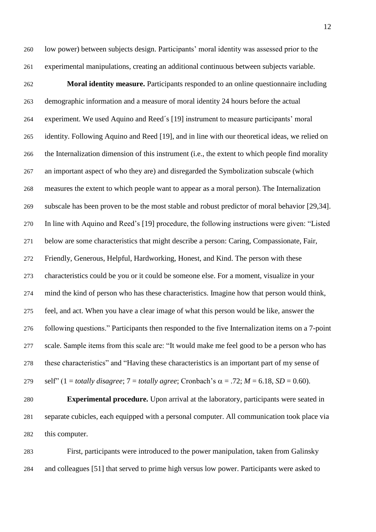low power) between subjects design. Participants' moral identity was assessed prior to the experimental manipulations, creating an additional continuous between subjects variable.

 **Moral identity measure.** Participants responded to an online questionnaire including demographic information and a measure of moral identity 24 hours before the actual experiment. We used Aquino and Reed´s [19] instrument to measure participants' moral identity. Following Aquino and Reed [19], and in line with our theoretical ideas, we relied on the Internalization dimension of this instrument (i.e., the extent to which people find morality an important aspect of who they are) and disregarded the Symbolization subscale (which measures the extent to which people want to appear as a moral person). The Internalization subscale has been proven to be the most stable and robust predictor of moral behavior [29,34]. In line with Aquino and Reed's [19] procedure, the following instructions were given: "Listed below are some characteristics that might describe a person: Caring, Compassionate, Fair, Friendly, Generous, Helpful, Hardworking, Honest, and Kind. The person with these characteristics could be you or it could be someone else. For a moment, visualize in your mind the kind of person who has these characteristics. Imagine how that person would think, feel, and act. When you have a clear image of what this person would be like, answer the following questions." Participants then responded to the five Internalization items on a 7-point scale. Sample items from this scale are: "It would make me feel good to be a person who has these characteristics" and "Having these characteristics is an important part of my sense of 279 self" (1 = *totally disagree*; 7 = *totally agree*; Cronbach's  $\alpha$  = .72; *M* = 6.18, *SD* = 0.60).

 **Experimental procedure.** Upon arrival at the laboratory, participants were seated in separate cubicles, each equipped with a personal computer. All communication took place via this computer.

 First, participants were introduced to the power manipulation, taken from Galinsky and colleagues [51] that served to prime high versus low power. Participants were asked to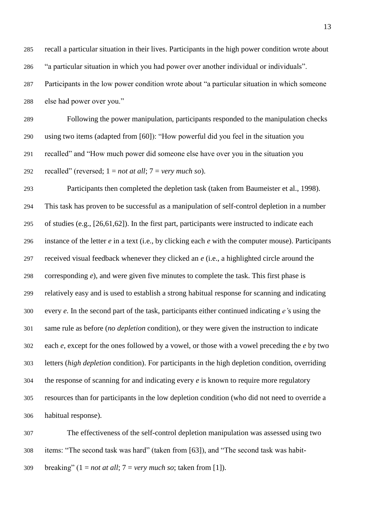recall a particular situation in their lives. Participants in the high power condition wrote about "a particular situation in which you had power over another individual or individuals". Participants in the low power condition wrote about "a particular situation in which someone else had power over you."

 Following the power manipulation, participants responded to the manipulation checks using two items (adapted from [60]): "How powerful did you feel in the situation you recalled" and "How much power did someone else have over you in the situation you recalled" (reversed; 1 = *not at all*; 7 = *very much so*).

 Participants then completed the depletion task (taken from Baumeister et al., 1998). This task has proven to be successful as a manipulation of self-control depletion in a number of studies (e.g., [26,61,62]). In the first part, participants were instructed to indicate each instance of the letter *e* in a text (i.e., by clicking each *e* with the computer mouse). Participants received visual feedback whenever they clicked an *e* (i.e., a highlighted circle around the corresponding *e*), and were given five minutes to complete the task. This first phase is relatively easy and is used to establish a strong habitual response for scanning and indicating every *e*. In the second part of the task, participants either continued indicating *e'*s using the same rule as before (*no depletion* condition), or they were given the instruction to indicate each *e*, except for the ones followed by a vowel, or those with a vowel preceding the *e* by two letters (*high depletion* condition). For participants in the high depletion condition, overriding the response of scanning for and indicating every *e* is known to require more regulatory resources than for participants in the low depletion condition (who did not need to override a habitual response).

 The effectiveness of the self-control depletion manipulation was assessed using two items: "The second task was hard" (taken from [63]), and "The second task was habit-309 breaking"  $(1 = not at all; 7 = very much so; taken from [1]).$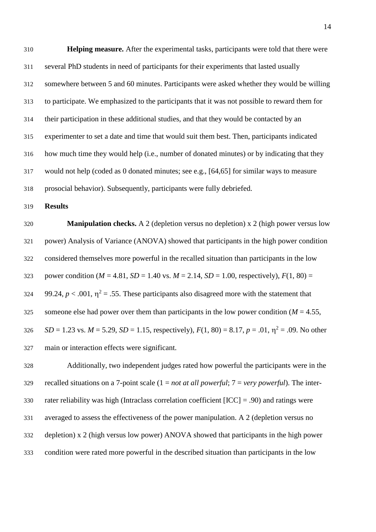**Helping measure.** After the experimental tasks, participants were told that there were several PhD students in need of participants for their experiments that lasted usually somewhere between 5 and 60 minutes. Participants were asked whether they would be willing to participate. We emphasized to the participants that it was not possible to reward them for their participation in these additional studies, and that they would be contacted by an experimenter to set a date and time that would suit them best. Then, participants indicated how much time they would help (i.e., number of donated minutes) or by indicating that they would not help (coded as 0 donated minutes; see e.g., [64,65] for similar ways to measure

prosocial behavior). Subsequently, participants were fully debriefed.

**Results**

 **Manipulation checks.** A 2 (depletion versus no depletion) x 2 (high power versus low power) Analysis of Variance (ANOVA) showed that participants in the high power condition considered themselves more powerful in the recalled situation than participants in the low 323 power condition ( $M = 4.81$ ,  $SD = 1.40$  vs.  $M = 2.14$ ,  $SD = 1.00$ , respectively),  $F(1, 80) =$ 324 99.24,  $p < .001$ ,  $\eta^2 = .55$ . These participants also disagreed more with the statement that 325 someone else had power over them than participants in the low power condition ( $M = 4.55$ ,  $SD = 1.23$  vs.  $M = 5.29$ ,  $SD = 1.15$ , respectively),  $F(1, 80) = 8.17$ ,  $p = .01$ ,  $\eta^2 = .09$ . No other main or interaction effects were significant.

 Additionally, two independent judges rated how powerful the participants were in the recalled situations on a 7-point scale (1 = *not at all powerful*; 7 = *very powerful*). The inter-330 rater reliability was high (Intraclass correlation coefficient  $[ICC] = .90$ ) and ratings were averaged to assess the effectiveness of the power manipulation. A 2 (depletion versus no depletion) x 2 (high versus low power) ANOVA showed that participants in the high power condition were rated more powerful in the described situation than participants in the low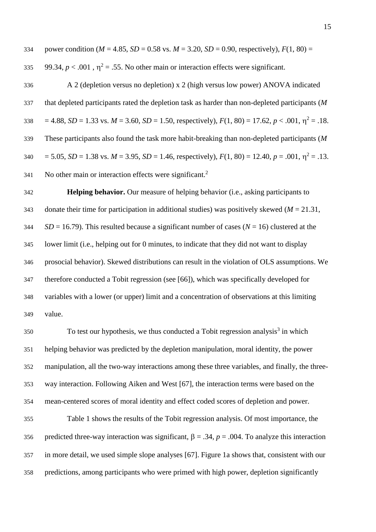334 power condition ( $M = 4.85$ ,  $SD = 0.58$  vs.  $M = 3.20$ ,  $SD = 0.90$ , respectively),  $F(1, 80) =$ 

335 99.34,  $p < .001$ ,  $\eta^2 = .55$ . No other main or interaction effects were significant.

 A 2 (depletion versus no depletion) x 2 (high versus low power) ANOVA indicated that depleted participants rated the depletion task as harder than non-depleted participants (*M* 338 = 4.88, *SD* = 1.33 vs. *M* = 3.60, *SD* = 1.50, respectively),  $F(1, 80) = 17.62$ ,  $p < .001$ ,  $\eta^2 = .18$ . These participants also found the task more habit-breaking than non-depleted participants (*M* 340 = 5.05, *SD* = 1.38 vs. *M* = 3.95, *SD* = 1.46, respectively),  $F(1, 80) = 12.40$ ,  $p = .001$ ,  $\eta^2 = .13$ . No other main or interaction effects were significant.<sup>2</sup> 

 **Helping behavior.** Our measure of helping behavior (i.e., asking participants to donate their time for participation in additional studies) was positively skewed (*M* = 21.31, *SD* = 16.79). This resulted because a significant number of cases ( $N = 16$ ) clustered at the lower limit (i.e., helping out for 0 minutes, to indicate that they did not want to display prosocial behavior). Skewed distributions can result in the violation of OLS assumptions. We therefore conducted a Tobit regression (see [66]), which was specifically developed for variables with a lower (or upper) limit and a concentration of observations at this limiting value.

 To test our hypothesis, we thus conducted a Tobit regression analysis<sup>3</sup> in which helping behavior was predicted by the depletion manipulation, moral identity, the power manipulation, all the two-way interactions among these three variables, and finally, the three- way interaction. Following Aiken and West [67], the interaction terms were based on the mean-centered scores of moral identity and effect coded scores of depletion and power.

 Table 1 shows the results of the Tobit regression analysis. Of most importance, the 356 predicted three-way interaction was significant,  $\beta = .34$ ,  $p = .004$ . To analyze this interaction in more detail, we used simple slope analyses [67]. Figure 1a shows that, consistent with our predictions, among participants who were primed with high power, depletion significantly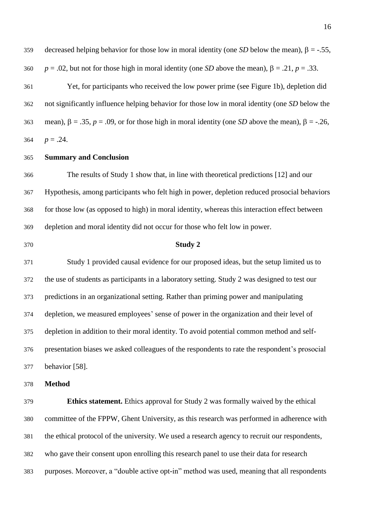Yet, for participants who received the low power prime (see Figure 1b), depletion did not significantly influence helping behavior for those low in moral identity (one *SD* below the 363 mean),  $\beta = .35$ ,  $p = .09$ , or for those high in moral identity (one *SD* above the mean),  $\beta = -.26$ , 364  $p = .24$ .

### **Summary and Conclusion**

 The results of Study 1 show that, in line with theoretical predictions [12] and our Hypothesis, among participants who felt high in power, depletion reduced prosocial behaviors for those low (as opposed to high) in moral identity, whereas this interaction effect between depletion and moral identity did not occur for those who felt low in power.

#### **Study 2**

 Study 1 provided causal evidence for our proposed ideas, but the setup limited us to the use of students as participants in a laboratory setting. Study 2 was designed to test our predictions in an organizational setting. Rather than priming power and manipulating depletion, we measured employees' sense of power in the organization and their level of depletion in addition to their moral identity. To avoid potential common method and self- presentation biases we asked colleagues of the respondents to rate the respondent's prosocial behavior [58].

**Method**

 **Ethics statement.** Ethics approval for Study 2 was formally waived by the ethical committee of the FPPW, Ghent University, as this research was performed in adherence with the ethical protocol of the university. We used a research agency to recruit our respondents, who gave their consent upon enrolling this research panel to use their data for research purposes. Moreover, a "double active opt-in" method was used, meaning that all respondents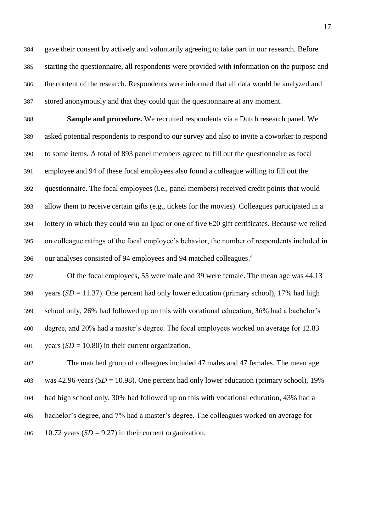gave their consent by actively and voluntarily agreeing to take part in our research. Before starting the questionnaire, all respondents were provided with information on the purpose and the content of the research. Respondents were informed that all data would be analyzed and stored anonymously and that they could quit the questionnaire at any moment.

 **Sample and procedure.** We recruited respondents via a Dutch research panel. We asked potential respondents to respond to our survey and also to invite a coworker to respond to some items. A total of 893 panel members agreed to fill out the questionnaire as focal employee and 94 of these focal employees also found a colleague willing to fill out the questionnaire. The focal employees (i.e., panel members) received credit points that would allow them to receive certain gifts (e.g., tickets for the movies). Colleagues participated in a 394 lottery in which they could win an Ipad or one of five  $\epsilon$ 20 gift certificates. Because we relied on colleague ratings of the focal employee's behavior, the number of respondents included in our analyses consisted of 94 employees and 94 matched colleagues. 4 

 Of the focal employees, 55 were male and 39 were female. The mean age was 44.13 398 years  $(SD = 11.37)$ . One percent had only lower education (primary school), 17% had high school only, 26% had followed up on this with vocational education, 36% had a bachelor's degree, and 20% had a master's degree. The focal employees worked on average for 12.83 401 vears  $(SD = 10.80)$  in their current organization.

 The matched group of colleagues included 47 males and 47 females. The mean age was 42.96 years (*SD* = 10.98). One percent had only lower education (primary school), 19% had high school only, 30% had followed up on this with vocational education, 43% had a bachelor's degree, and 7% had a master's degree. The colleagues worked on average for 406 10.72 years  $(SD = 9.27)$  in their current organization.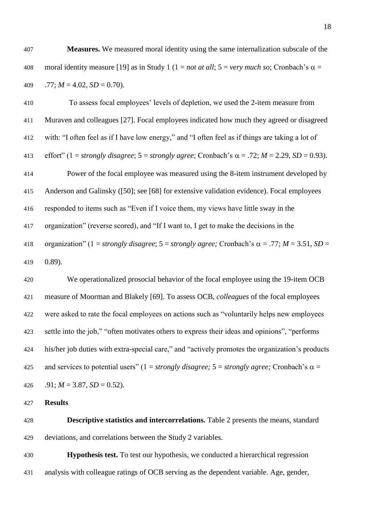**Measures.** We measured moral identity using the same internalization subscale of the 408 moral identity measure [19] as in Study 1 ( $1 = not at all$ ;  $5 = very much so$ ; Cronbach's  $\alpha =$ 409 .77;  $M = 4.02$ ,  $SD = 0.70$ ).

 To assess focal employees' levels of depletion, we used the 2-item measure from Muraven and colleagues [27]. Focal employees indicated how much they agreed or disagreed with: "I often feel as if I have low energy," and "I often feel as if things are taking a lot of 413 effort" (1 = *strongly disagree*; 5 = *strongly agree*; Cronbach's  $\alpha$  = .72; *M* = 2.29, *SD* = 0.93). Power of the focal employee was measured using the 8-item instrument developed by Anderson and Galinsky ([50]; see [68] for extensive validation evidence). Focal employees responded to items such as "Even if I voice them, my views have little sway in the organization" (reverse scored), and "If I want to, I get to make the decisions in the 418 organization" (1 = *strongly disagree*; 5 = *strongly agree*; Cronbach's  $\alpha$  = .77; *M* = 3.51, *SD* = 0.89).

 We operationalized prosocial behavior of the focal employee using the 19-item OCB measure of Moorman and Blakely [69]. To assess OCB, *colleagues* of the focal employees were asked to rate the focal employees on actions such as "voluntarily helps new employees settle into the job," "often motivates others to express their ideas and opinions", "performs his/her job duties with extra-special care," and "actively promotes the organization's products 425 and services to potential users" (1 = *strongly disagree;*  $5 =$  *strongly agree;* Cronbach's  $\alpha$  =  $.91; M = 3.87, SD = 0.52$ .

**Results**

 **Descriptive statistics and intercorrelations.** Table 2 presents the means, standard deviations, and correlations between the Study 2 variables.

 **Hypothesis test.** To test our hypothesis, we conducted a hierarchical regression analysis with colleague ratings of OCB serving as the dependent variable. Age, gender,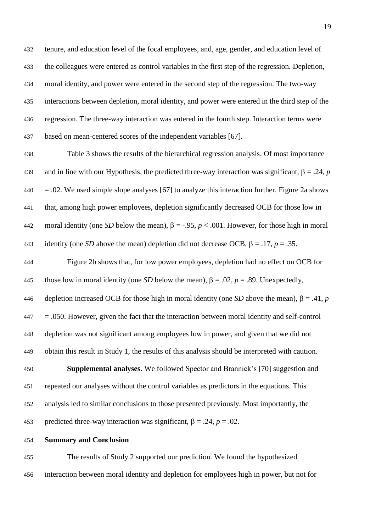tenure, and education level of the focal employees, and, age, gender, and education level of the colleagues were entered as control variables in the first step of the regression. Depletion, moral identity, and power were entered in the second step of the regression. The two-way interactions between depletion, moral identity, and power were entered in the third step of the regression. The three-way interaction was entered in the fourth step. Interaction terms were based on mean-centered scores of the independent variables [67].

 Table 3 shows the results of the hierarchical regression analysis. Of most importance 439 and in line with our Hypothesis, the predicted three-way interaction was significant,  $\beta = .24$ , *p*  $440 = 0.02$ . We used simple slope analyses [67] to analyze this interaction further. Figure 2a shows that, among high power employees, depletion significantly decreased OCB for those low in 442 moral identity (one *SD* below the mean),  $\beta = -0.95$ ,  $p < 0.001$ . However, for those high in moral 443 identity (one *SD* above the mean) depletion did not decrease OCB,  $\beta = .17$ ,  $p = .35$ .

 Figure 2b shows that, for low power employees, depletion had no effect on OCB for 445 those low in moral identity (one *SD* below the mean),  $\beta = .02$ ,  $p = .89$ . Unexpectedly, 446 depletion increased OCB for those high in moral identity (one *SD* above the mean),  $\beta = .41$ , *p*  $447 = .050$ . However, given the fact that the interaction between moral identity and self-control depletion was not significant among employees low in power, and given that we did not obtain this result in Study 1, the results of this analysis should be interpreted with caution.

 **Supplemental analyses.** We followed Spector and Brannick's [70] suggestion and repeated our analyses without the control variables as predictors in the equations. This analysis led to similar conclusions to those presented previously. Most importantly, the 453 predicted three-way interaction was significant,  $\beta = .24$ ,  $p = .02$ .

**Summary and Conclusion**

 The results of Study 2 supported our prediction. We found the hypothesized interaction between moral identity and depletion for employees high in power, but not for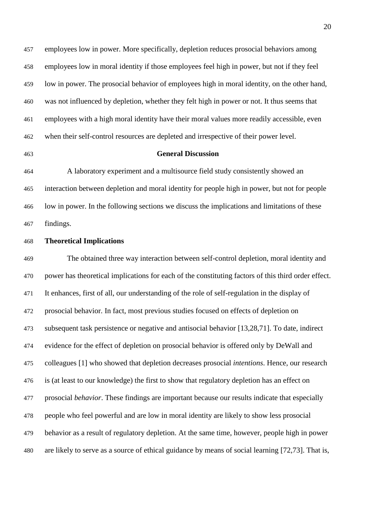employees low in power. More specifically, depletion reduces prosocial behaviors among employees low in moral identity if those employees feel high in power, but not if they feel low in power. The prosocial behavior of employees high in moral identity, on the other hand, was not influenced by depletion, whether they felt high in power or not. It thus seems that employees with a high moral identity have their moral values more readily accessible, even when their self-control resources are depleted and irrespective of their power level.

# **General Discussion**

 A laboratory experiment and a multisource field study consistently showed an interaction between depletion and moral identity for people high in power, but not for people low in power. In the following sections we discuss the implications and limitations of these findings.

## **Theoretical Implications**

 The obtained three way interaction between self-control depletion, moral identity and power has theoretical implications for each of the constituting factors of this third order effect. It enhances, first of all, our understanding of the role of self-regulation in the display of prosocial behavior. In fact, most previous studies focused on effects of depletion on subsequent task persistence or negative and antisocial behavior [13,28,71]. To date, indirect evidence for the effect of depletion on prosocial behavior is offered only by DeWall and colleagues [1] who showed that depletion decreases prosocial *intentions*. Hence, our research is (at least to our knowledge) the first to show that regulatory depletion has an effect on prosocial *behavior*. These findings are important because our results indicate that especially people who feel powerful and are low in moral identity are likely to show less prosocial behavior as a result of regulatory depletion. At the same time, however, people high in power are likely to serve as a source of ethical guidance by means of social learning [72,73]. That is,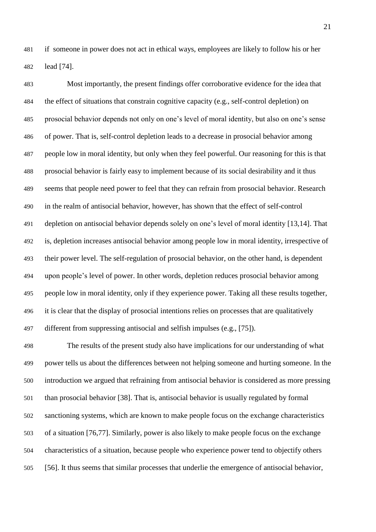if someone in power does not act in ethical ways, employees are likely to follow his or her lead [74].

 Most importantly, the present findings offer corroborative evidence for the idea that the effect of situations that constrain cognitive capacity (e.g., self-control depletion) on prosocial behavior depends not only on one's level of moral identity, but also on one's sense of power. That is, self-control depletion leads to a decrease in prosocial behavior among people low in moral identity, but only when they feel powerful. Our reasoning for this is that prosocial behavior is fairly easy to implement because of its social desirability and it thus seems that people need power to feel that they can refrain from prosocial behavior. Research in the realm of antisocial behavior, however, has shown that the effect of self-control depletion on antisocial behavior depends solely on one's level of moral identity [13,14]. That is, depletion increases antisocial behavior among people low in moral identity, irrespective of their power level. The self-regulation of prosocial behavior, on the other hand, is dependent upon people's level of power. In other words, depletion reduces prosocial behavior among people low in moral identity, only if they experience power. Taking all these results together, it is clear that the display of prosocial intentions relies on processes that are qualitatively different from suppressing antisocial and selfish impulses (e.g., [75]).

 The results of the present study also have implications for our understanding of what power tells us about the differences between not helping someone and hurting someone. In the introduction we argued that refraining from antisocial behavior is considered as more pressing than prosocial behavior [38]. That is, antisocial behavior is usually regulated by formal sanctioning systems, which are known to make people focus on the exchange characteristics of a situation [76,77]. Similarly, power is also likely to make people focus on the exchange characteristics of a situation, because people who experience power tend to objectify others [56]. It thus seems that similar processes that underlie the emergence of antisocial behavior,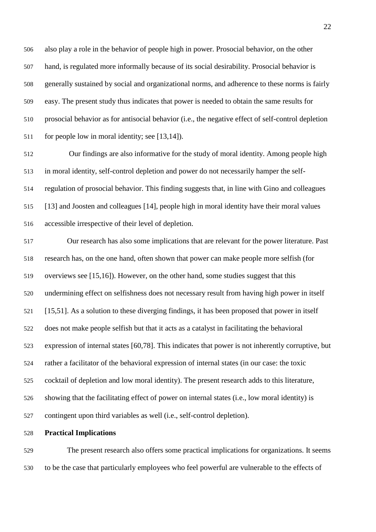also play a role in the behavior of people high in power. Prosocial behavior, on the other hand, is regulated more informally because of its social desirability. Prosocial behavior is generally sustained by social and organizational norms, and adherence to these norms is fairly easy. The present study thus indicates that power is needed to obtain the same results for prosocial behavior as for antisocial behavior (i.e., the negative effect of self-control depletion for people low in moral identity; see [13,14]).

 Our findings are also informative for the study of moral identity. Among people high in moral identity, self-control depletion and power do not necessarily hamper the self- regulation of prosocial behavior. This finding suggests that, in line with Gino and colleagues [13] and Joosten and colleagues [14], people high in moral identity have their moral values accessible irrespective of their level of depletion.

 Our research has also some implications that are relevant for the power literature. Past research has, on the one hand, often shown that power can make people more selfish (for overviews see [15,16]). However, on the other hand, some studies suggest that this undermining effect on selfishness does not necessary result from having high power in itself [15,51]. As a solution to these diverging findings, it has been proposed that power in itself does not make people selfish but that it acts as a catalyst in facilitating the behavioral expression of internal states [60,78]. This indicates that power is not inherently corruptive, but rather a facilitator of the behavioral expression of internal states (in our case: the toxic cocktail of depletion and low moral identity). The present research adds to this literature, showing that the facilitating effect of power on internal states (i.e., low moral identity) is contingent upon third variables as well (i.e., self-control depletion).

#### **Practical Implications**

 The present research also offers some practical implications for organizations. It seems to be the case that particularly employees who feel powerful are vulnerable to the effects of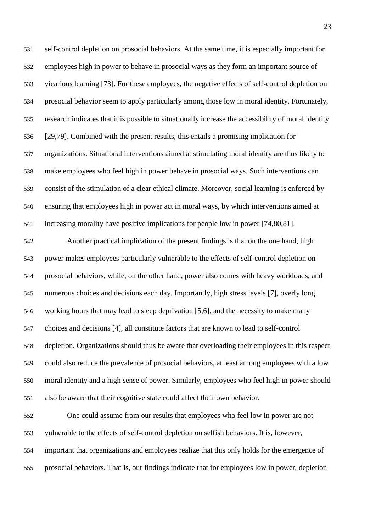self-control depletion on prosocial behaviors. At the same time, it is especially important for employees high in power to behave in prosocial ways as they form an important source of vicarious learning [73]. For these employees, the negative effects of self-control depletion on prosocial behavior seem to apply particularly among those low in moral identity. Fortunately, research indicates that it is possible to situationally increase the accessibility of moral identity [29,79]. Combined with the present results, this entails a promising implication for organizations. Situational interventions aimed at stimulating moral identity are thus likely to make employees who feel high in power behave in prosocial ways. Such interventions can consist of the stimulation of a clear ethical climate. Moreover, social learning is enforced by ensuring that employees high in power act in moral ways, by which interventions aimed at increasing morality have positive implications for people low in power [74,80,81].

 Another practical implication of the present findings is that on the one hand, high power makes employees particularly vulnerable to the effects of self-control depletion on prosocial behaviors, while, on the other hand, power also comes with heavy workloads, and numerous choices and decisions each day. Importantly, high stress levels [7], overly long working hours that may lead to sleep deprivation [5,6], and the necessity to make many choices and decisions [4], all constitute factors that are known to lead to self-control depletion. Organizations should thus be aware that overloading their employees in this respect could also reduce the prevalence of prosocial behaviors, at least among employees with a low moral identity and a high sense of power. Similarly, employees who feel high in power should also be aware that their cognitive state could affect their own behavior.

 One could assume from our results that employees who feel low in power are not vulnerable to the effects of self-control depletion on selfish behaviors. It is, however, important that organizations and employees realize that this only holds for the emergence of prosocial behaviors. That is, our findings indicate that for employees low in power, depletion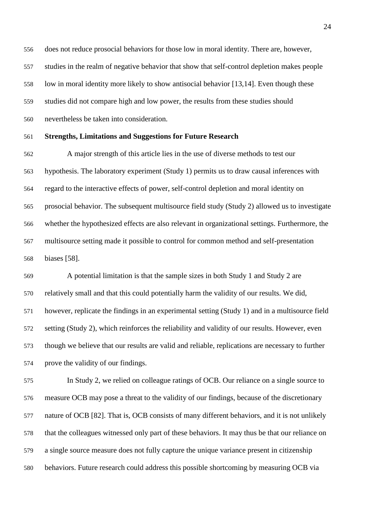does not reduce prosocial behaviors for those low in moral identity. There are, however, studies in the realm of negative behavior that show that self-control depletion makes people low in moral identity more likely to show antisocial behavior [13,14]. Even though these studies did not compare high and low power, the results from these studies should nevertheless be taken into consideration.

#### **Strengths, Limitations and Suggestions for Future Research**

 A major strength of this article lies in the use of diverse methods to test our hypothesis. The laboratory experiment (Study 1) permits us to draw causal inferences with regard to the interactive effects of power, self-control depletion and moral identity on prosocial behavior. The subsequent multisource field study (Study 2) allowed us to investigate whether the hypothesized effects are also relevant in organizational settings. Furthermore, the multisource setting made it possible to control for common method and self-presentation biases [58].

 A potential limitation is that the sample sizes in both Study 1 and Study 2 are relatively small and that this could potentially harm the validity of our results. We did, however, replicate the findings in an experimental setting (Study 1) and in a multisource field setting (Study 2), which reinforces the reliability and validity of our results. However, even though we believe that our results are valid and reliable, replications are necessary to further prove the validity of our findings.

 In Study 2, we relied on colleague ratings of OCB. Our reliance on a single source to measure OCB may pose a threat to the validity of our findings, because of the discretionary nature of OCB [82]. That is, OCB consists of many different behaviors, and it is not unlikely that the colleagues witnessed only part of these behaviors. It may thus be that our reliance on a single source measure does not fully capture the unique variance present in citizenship behaviors. Future research could address this possible shortcoming by measuring OCB via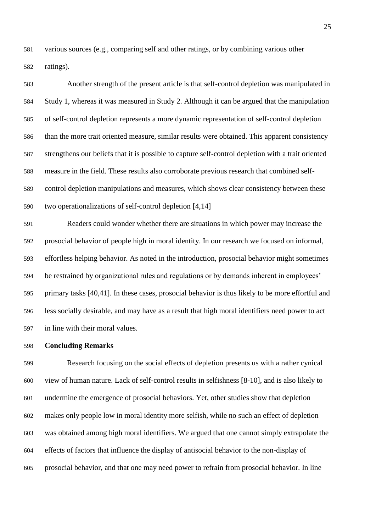various sources (e.g., comparing self and other ratings, or by combining various other ratings).

 Another strength of the present article is that self-control depletion was manipulated in Study 1, whereas it was measured in Study 2. Although it can be argued that the manipulation of self-control depletion represents a more dynamic representation of self-control depletion than the more trait oriented measure, similar results were obtained. This apparent consistency strengthens our beliefs that it is possible to capture self-control depletion with a trait oriented measure in the field. These results also corroborate previous research that combined self- control depletion manipulations and measures, which shows clear consistency between these two operationalizations of self-control depletion [4,14]

 Readers could wonder whether there are situations in which power may increase the prosocial behavior of people high in moral identity. In our research we focused on informal, effortless helping behavior. As noted in the introduction, prosocial behavior might sometimes be restrained by organizational rules and regulations or by demands inherent in employees' primary tasks [40,41]. In these cases, prosocial behavior is thus likely to be more effortful and less socially desirable, and may have as a result that high moral identifiers need power to act in line with their moral values.

#### **Concluding Remarks**

 Research focusing on the social effects of depletion presents us with a rather cynical view of human nature. Lack of self-control results in selfishness [8-10], and is also likely to undermine the emergence of prosocial behaviors. Yet, other studies show that depletion makes only people low in moral identity more selfish, while no such an effect of depletion was obtained among high moral identifiers. We argued that one cannot simply extrapolate the effects of factors that influence the display of antisocial behavior to the non-display of prosocial behavior, and that one may need power to refrain from prosocial behavior. In line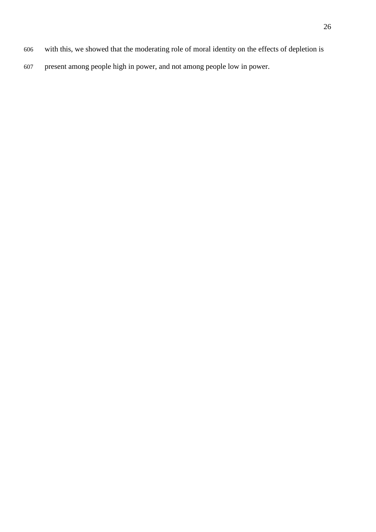- with this, we showed that the moderating role of moral identity on the effects of depletion is
- present among people high in power, and not among people low in power.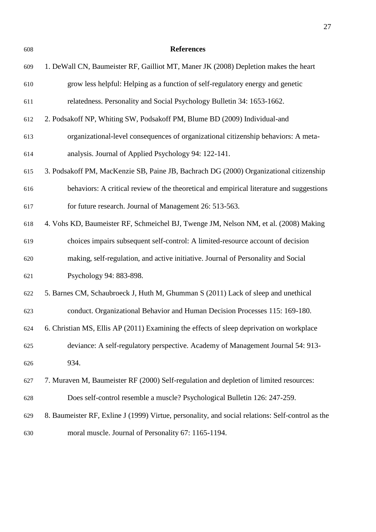**References** 1. DeWall CN, Baumeister RF, Gailliot MT, Maner JK (2008) Depletion makes the heart grow less helpful: Helping as a function of self-regulatory energy and genetic relatedness. Personality and Social Psychology Bulletin 34: 1653-1662. 2. Podsakoff NP, Whiting SW, Podsakoff PM, Blume BD (2009) Individual-and organizational-level consequences of organizational citizenship behaviors: A meta- analysis. Journal of Applied Psychology 94: 122-141. 3. Podsakoff PM, MacKenzie SB, Paine JB, Bachrach DG (2000) Organizational citizenship behaviors: A critical review of the theoretical and empirical literature and suggestions for future research. Journal of Management 26: 513-563. 4. Vohs KD, Baumeister RF, Schmeichel BJ, Twenge JM, Nelson NM, et al. (2008) Making choices impairs subsequent self-control: A limited-resource account of decision making, self-regulation, and active initiative. Journal of Personality and Social Psychology 94: 883-898. 5. Barnes CM, Schaubroeck J, Huth M, Ghumman S (2011) Lack of sleep and unethical conduct. Organizational Behavior and Human Decision Processes 115: 169-180. 6. Christian MS, Ellis AP (2011) Examining the effects of sleep deprivation on workplace deviance: A self-regulatory perspective. Academy of Management Journal 54: 913- 934. 7. Muraven M, Baumeister RF (2000) Self-regulation and depletion of limited resources: Does self-control resemble a muscle? Psychological Bulletin 126: 247-259. 8. Baumeister RF, Exline J (1999) Virtue, personality, and social relations: Self-control as the moral muscle. Journal of Personality 67: 1165-1194.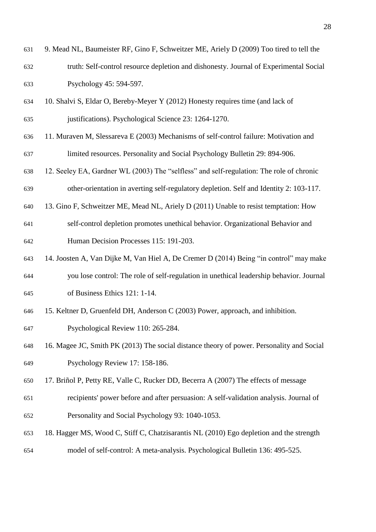- 9. Mead NL, Baumeister RF, Gino F, Schweitzer ME, Ariely D (2009) Too tired to tell the truth: Self-control resource depletion and dishonesty. Journal of Experimental Social Psychology 45: 594-597.
- 10. Shalvi S, Eldar O, Bereby-Meyer Y (2012) Honesty requires time (and lack of justifications). Psychological Science 23: 1264-1270.
- 11. Muraven M, Slessareva E (2003) Mechanisms of self-control failure: Motivation and limited resources. Personality and Social Psychology Bulletin 29: 894-906.
- 12. Seeley EA, Gardner WL (2003) The "selfless" and self-regulation: The role of chronic other-orientation in averting self-regulatory depletion. Self and Identity 2: 103-117.
- 13. Gino F, Schweitzer ME, Mead NL, Ariely D (2011) Unable to resist temptation: How
- self-control depletion promotes unethical behavior. Organizational Behavior and Human Decision Processes 115: 191-203.
- 14. Joosten A, Van Dijke M, Van Hiel A, De Cremer D (2014) Being "in control" may make you lose control: The role of self-regulation in unethical leadership behavior. Journal of Business Ethics 121: 1-14.
- 15. Keltner D, Gruenfeld DH, Anderson C (2003) Power, approach, and inhibition.

Psychological Review 110: 265-284.

- 16. Magee JC, Smith PK (2013) The social distance theory of power. Personality and Social Psychology Review 17: 158-186.
- 17. Briñol P, Petty RE, Valle C, Rucker DD, Becerra A (2007) The effects of message
- recipients' power before and after persuasion: A self-validation analysis. Journal of Personality and Social Psychology 93: 1040-1053.
- 18. Hagger MS, Wood C, Stiff C, Chatzisarantis NL (2010) Ego depletion and the strength model of self-control: A meta-analysis. Psychological Bulletin 136: 495-525.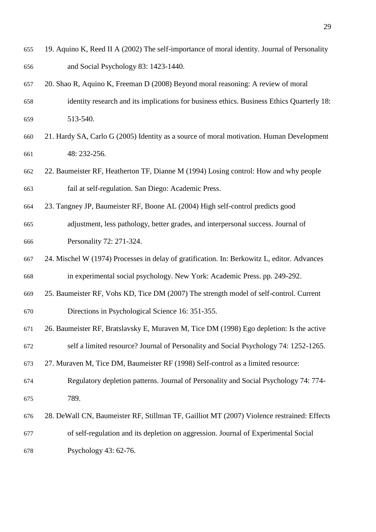- 19. Aquino K, Reed II A (2002) The self-importance of moral identity. Journal of Personality and Social Psychology 83: 1423-1440.
- 20. Shao R, Aquino K, Freeman D (2008) Beyond moral reasoning: A review of moral identity research and its implications for business ethics. Business Ethics Quarterly 18: 513-540.
- 21. Hardy SA, Carlo G (2005) Identity as a source of moral motivation. Human Development 48: 232-256.
- 22. Baumeister RF, Heatherton TF, Dianne M (1994) Losing control: How and why people fail at self-regulation. San Diego: Academic Press.
- 23. Tangney JP, Baumeister RF, Boone AL (2004) High self‐control predicts good adjustment, less pathology, better grades, and interpersonal success. Journal of Personality 72: 271-324.
- 24. Mischel W (1974) Processes in delay of gratification. In: Berkowitz L, editor. Advances in experimental social psychology. New York: Academic Press. pp. 249-292.
- 25. Baumeister RF, Vohs KD, Tice DM (2007) The strength model of self-control. Current Directions in Psychological Science 16: 351-355.
- 26. Baumeister RF, Bratslavsky E, Muraven M, Tice DM (1998) Ego depletion: Is the active self a limited resource? Journal of Personality and Social Psychology 74: 1252-1265.
- 27. Muraven M, Tice DM, Baumeister RF (1998) Self-control as a limited resource:
- Regulatory depletion patterns. Journal of Personality and Social Psychology 74: 774- 789.
- 28. DeWall CN, Baumeister RF, Stillman TF, Gailliot MT (2007) Violence restrained: Effects of self-regulation and its depletion on aggression. Journal of Experimental Social Psychology 43: 62-76.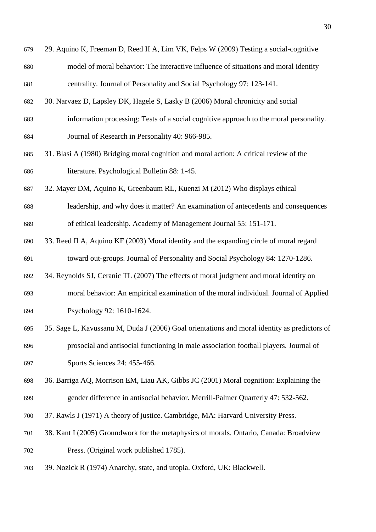| 679 | 29. Aquino K, Freeman D, Reed II A, Lim VK, Felps W (2009) Testing a social-cognitive        |
|-----|----------------------------------------------------------------------------------------------|
| 680 | model of moral behavior: The interactive influence of situations and moral identity          |
| 681 | centrality. Journal of Personality and Social Psychology 97: 123-141.                        |
| 682 | 30. Narvaez D, Lapsley DK, Hagele S, Lasky B (2006) Moral chronicity and social              |
| 683 | information processing: Tests of a social cognitive approach to the moral personality.       |
| 684 | Journal of Research in Personality 40: 966-985.                                              |
| 685 | 31. Blasi A (1980) Bridging moral cognition and moral action: A critical review of the       |
| 686 | literature. Psychological Bulletin 88: 1-45.                                                 |
| 687 | 32. Mayer DM, Aquino K, Greenbaum RL, Kuenzi M (2012) Who displays ethical                   |
| 688 | leadership, and why does it matter? An examination of antecedents and consequences           |
| 689 | of ethical leadership. Academy of Management Journal 55: 151-171.                            |
| 690 | 33. Reed II A, Aquino KF (2003) Moral identity and the expanding circle of moral regard      |
| 691 | toward out-groups. Journal of Personality and Social Psychology 84: 1270-1286.               |
| 692 | 34. Reynolds SJ, Ceranic TL (2007) The effects of moral judgment and moral identity on       |
| 693 | moral behavior: An empirical examination of the moral individual. Journal of Applied         |
| 694 | Psychology 92: 1610-1624.                                                                    |
| 695 | 35. Sage L, Kavussanu M, Duda J (2006) Goal orientations and moral identity as predictors of |
| 696 | prosocial and antisocial functioning in male association football players. Journal of        |
| 697 | Sports Sciences 24: 455-466.                                                                 |
| 698 | 36. Barriga AQ, Morrison EM, Liau AK, Gibbs JC (2001) Moral cognition: Explaining the        |
| 699 | gender difference in antisocial behavior. Merrill-Palmer Quarterly 47: 532-562.              |
| 700 | 37. Rawls J (1971) A theory of justice. Cambridge, MA: Harvard University Press.             |
| 701 | 38. Kant I (2005) Groundwork for the metaphysics of morals. Ontario, Canada: Broadview       |
| 702 | Press. (Original work published 1785).                                                       |
| 703 | 39. Nozick R (1974) Anarchy, state, and utopia. Oxford, UK: Blackwell.                       |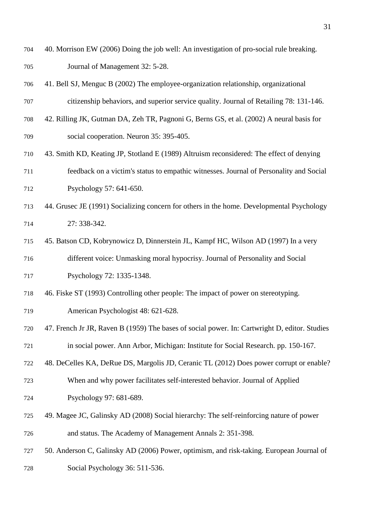- 40. Morrison EW (2006) Doing the job well: An investigation of pro-social rule breaking. Journal of Management 32: 5-28.
- 41. Bell SJ, Menguc B (2002) The employee-organization relationship, organizational
- citizenship behaviors, and superior service quality. Journal of Retailing 78: 131-146.
- 42. Rilling JK, Gutman DA, Zeh TR, Pagnoni G, Berns GS, et al. (2002) A neural basis for social cooperation. Neuron 35: 395-405.
- 43. Smith KD, Keating JP, Stotland E (1989) Altruism reconsidered: The effect of denying feedback on a victim's status to empathic witnesses. Journal of Personality and Social
- Psychology 57: 641-650.
- 44. Grusec JE (1991) Socializing concern for others in the home. Developmental Psychology 27: 338-342.
- 45. Batson CD, Kobrynowicz D, Dinnerstein JL, Kampf HC, Wilson AD (1997) In a very different voice: Unmasking moral hypocrisy. Journal of Personality and Social
- Psychology 72: 1335-1348.
- 46. Fiske ST (1993) Controlling other people: The impact of power on stereotyping.
- American Psychologist 48: 621-628.
- 47. French Jr JR, Raven B (1959) The bases of social power. In: Cartwright D, editor. Studies in social power. Ann Arbor, Michigan: Institute for Social Research. pp. 150-167.
- 48. DeCelles KA, DeRue DS, Margolis JD, Ceranic TL (2012) Does power corrupt or enable?
- When and why power facilitates self-interested behavior. Journal of Applied Psychology 97: 681-689.
- 
- 49. Magee JC, Galinsky AD (2008) Social hierarchy: The self‐reinforcing nature of power and status. The Academy of Management Annals 2: 351-398.
- 50. Anderson C, Galinsky AD (2006) Power, optimism, and risk-taking. European Journal of Social Psychology 36: 511-536.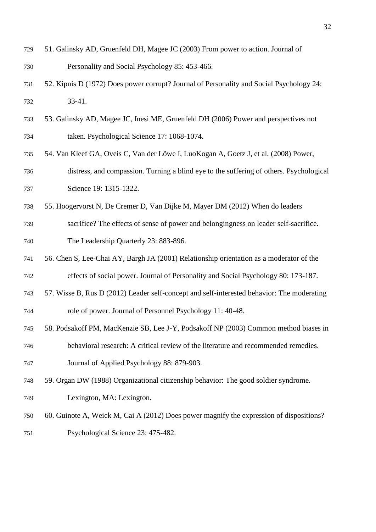| 729 | 51. Galinsky AD, Gruenfeld DH, Magee JC (2003) From power to action. Journal of |
|-----|---------------------------------------------------------------------------------|
| 730 | Personality and Social Psychology 85: 453-466.                                  |

- 52. Kipnis D (1972) Does power corrupt? Journal of Personality and Social Psychology 24: 33-41.
- 53. Galinsky AD, Magee JC, Inesi ME, Gruenfeld DH (2006) Power and perspectives not taken. Psychological Science 17: 1068-1074.
- 54. Van Kleef GA, Oveis C, Van der Löwe I, LuoKogan A, Goetz J, et al. (2008) Power, distress, and compassion. Turning a blind eye to the suffering of others. Psychological 737 Science 19: 1315-1322.
- 55. Hoogervorst N, De Cremer D, Van Dijke M, Mayer DM (2012) When do leaders
- sacrifice? The effects of sense of power and belongingness on leader self-sacrifice.
- The Leadership Quarterly 23: 883-896.
- 56. Chen S, Lee-Chai AY, Bargh JA (2001) Relationship orientation as a moderator of the
- effects of social power. Journal of Personality and Social Psychology 80: 173-187.
- 57. Wisse B, Rus D (2012) Leader self-concept and self-interested behavior: The moderating
- role of power. Journal of Personnel Psychology 11: 40-48.
- 58. Podsakoff PM, MacKenzie SB, Lee J-Y, Podsakoff NP (2003) Common method biases in
- behavioral research: A critical review of the literature and recommended remedies.
- Journal of Applied Psychology 88: 879-903.
- 59. Organ DW (1988) Organizational citizenship behavior: The good soldier syndrome.
- Lexington, MA: Lexington.
- 60. Guinote A, Weick M, Cai A (2012) Does power magnify the expression of dispositions?
- Psychological Science 23: 475-482.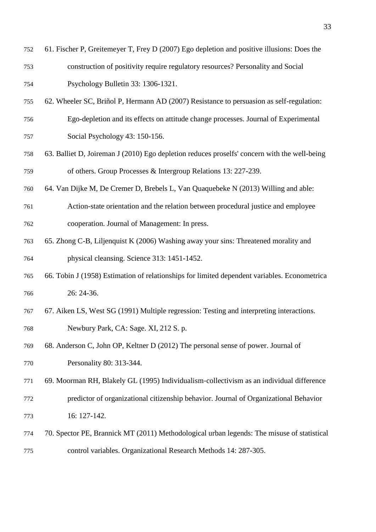| 752 | 61. Fischer P, Greitemeyer T, Frey D (2007) Ego depletion and positive illusions: Does the |
|-----|--------------------------------------------------------------------------------------------|
| 753 | construction of positivity require regulatory resources? Personality and Social            |
| 754 | Psychology Bulletin 33: 1306-1321.                                                         |

- 62. Wheeler SC, Briñol P, Hermann AD (2007) Resistance to persuasion as self-regulation: Ego-depletion and its effects on attitude change processes. Journal of Experimental
- Social Psychology 43: 150-156.
- 63. Balliet D, Joireman J (2010) Ego depletion reduces proselfs' concern with the well-being of others. Group Processes & Intergroup Relations 13: 227-239.
- 64. Van Dijke M, De Cremer D, Brebels L, Van Quaquebeke N (2013) Willing and able:
- Action-state orientation and the relation between procedural justice and employee cooperation. Journal of Management: In press.
- 65. Zhong C-B, Liljenquist K (2006) Washing away your sins: Threatened morality and physical cleansing. Science 313: 1451-1452.
- 66. Tobin J (1958) Estimation of relationships for limited dependent variables. Econometrica 26: 24-36.
- 67. Aiken LS, West SG (1991) Multiple regression: Testing and interpreting interactions. Newbury Park, CA: Sage. XI, 212 S. p.
- 68. Anderson C, John OP, Keltner D (2012) The personal sense of power. Journal of Personality 80: 313-344.
- 69. Moorman RH, Blakely GL (1995) Individualism‐collectivism as an individual difference predictor of organizational citizenship behavior. Journal of Organizational Behavior 16: 127-142.
- 70. Spector PE, Brannick MT (2011) Methodological urban legends: The misuse of statistical control variables. Organizational Research Methods 14: 287-305.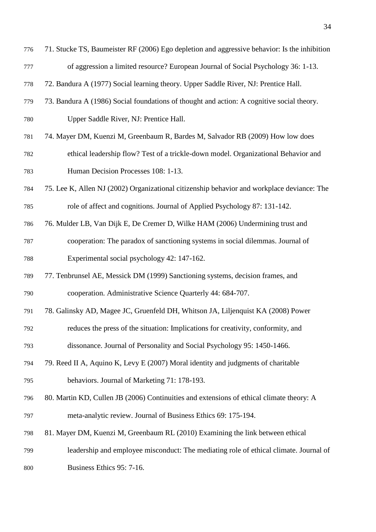- 71. Stucke TS, Baumeister RF (2006) Ego depletion and aggressive behavior: Is the inhibition of aggression a limited resource? European Journal of Social Psychology 36: 1-13.
- 72. Bandura A (1977) Social learning theory. Upper Saddle River, NJ: Prentice Hall.
- 73. Bandura A (1986) Social foundations of thought and action: A cognitive social theory. Upper Saddle River, NJ: Prentice Hall.
- 74. Mayer DM, Kuenzi M, Greenbaum R, Bardes M, Salvador RB (2009) How low does
- ethical leadership flow? Test of a trickle-down model. Organizational Behavior and Human Decision Processes 108: 1-13.
- 75. Lee K, Allen NJ (2002) Organizational citizenship behavior and workplace deviance: The role of affect and cognitions. Journal of Applied Psychology 87: 131-142.
- 76. Mulder LB, Van Dijk E, De Cremer D, Wilke HAM (2006) Undermining trust and
- cooperation: The paradox of sanctioning systems in social dilemmas. Journal of Experimental social psychology 42: 147-162.
- 77. Tenbrunsel AE, Messick DM (1999) Sanctioning systems, decision frames, and cooperation. Administrative Science Quarterly 44: 684-707.
- 78. Galinsky AD, Magee JC, Gruenfeld DH, Whitson JA, Liljenquist KA (2008) Power
- reduces the press of the situation: Implications for creativity, conformity, and
- dissonance. Journal of Personality and Social Psychology 95: 1450-1466.
- 79. Reed II A, Aquino K, Levy E (2007) Moral identity and judgments of charitable behaviors. Journal of Marketing 71: 178-193.
- 80. Martin KD, Cullen JB (2006) Continuities and extensions of ethical climate theory: A meta-analytic review. Journal of Business Ethics 69: 175-194.
- 81. Mayer DM, Kuenzi M, Greenbaum RL (2010) Examining the link between ethical
- leadership and employee misconduct: The mediating role of ethical climate. Journal of
- Business Ethics 95: 7-16.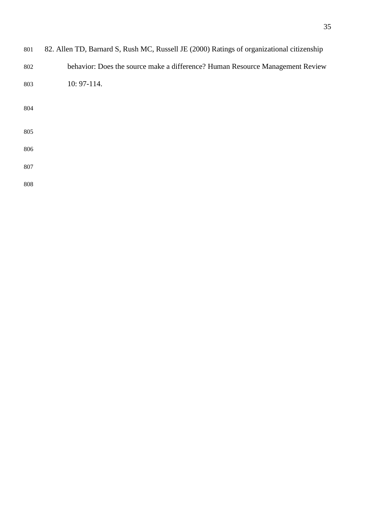| 801 | 82. Allen TD, Barnard S, Rush MC, Russell JE (2000) Ratings of organizational citizenship |
|-----|-------------------------------------------------------------------------------------------|
| 802 | behavior: Does the source make a difference? Human Resource Management Review             |
| 803 | 10: 97-114.                                                                               |
| 804 |                                                                                           |
| 805 |                                                                                           |
| 806 |                                                                                           |
| 807 |                                                                                           |
| 808 |                                                                                           |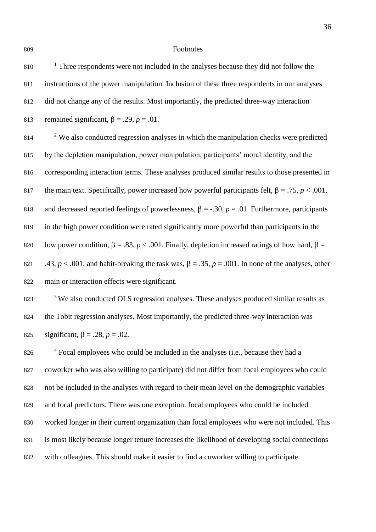#### Footnotes

810 <sup>1</sup> Three respondents were not included in the analyses because they did not follow the instructions of the power manipulation. Inclusion of these three respondents in our analyses did not change any of the results. Most importantly, the predicted three-way interaction 813 remained significant,  $\beta = .29$ ,  $p = .01$ .

 <sup>2</sup> We also conducted regression analyses in which the manipulation checks were predicted by the depletion manipulation, power manipulation, participants' moral identity, and the corresponding interaction terms. These analyses produced similar results to those presented in 817 the main text. Specifically, power increased how powerful participants felt,  $\beta = .75$ ,  $p < .001$ , 818 and decreased reported feelings of powerlessness,  $\beta = -.30$ ,  $p = .01$ . Furthermore, participants in the high power condition were rated significantly more powerful than participants in the 820 low power condition,  $\beta = .83$ ,  $p < .001$ . Finally, depletion increased ratings of how hard,  $\beta =$ 821 .43,  $p < .001$ , and habit-breaking the task was,  $\beta = .35$ ,  $p = .001$ . In none of the analyses, other main or interaction effects were significant.

<sup>3</sup> We also conducted OLS regression analyses. These analyses produced similar results as the Tobit regression analyses. Most importantly, the predicted three-way interaction was 825 significant,  $\beta = .28$ ,  $p = .02$ .

<sup>4</sup> Focal employees who could be included in the analyses (i.e., because they had a coworker who was also willing to participate) did not differ from focal employees who could not be included in the analyses with regard to their mean level on the demographic variables and focal predictors. There was one exception: focal employees who could be included worked longer in their current organization than focal employees who were not included. This is most likely because longer tenure increases the likelihood of developing social connections with colleagues. This should make it easier to find a coworker willing to participate.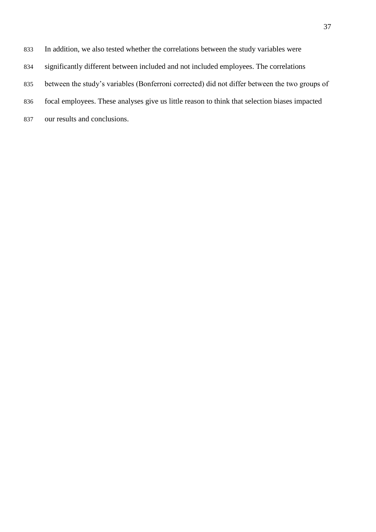- In addition, we also tested whether the correlations between the study variables were
- significantly different between included and not included employees. The correlations
- between the study's variables (Bonferroni corrected) did not differ between the two groups of
- focal employees. These analyses give us little reason to think that selection biases impacted
- our results and conclusions.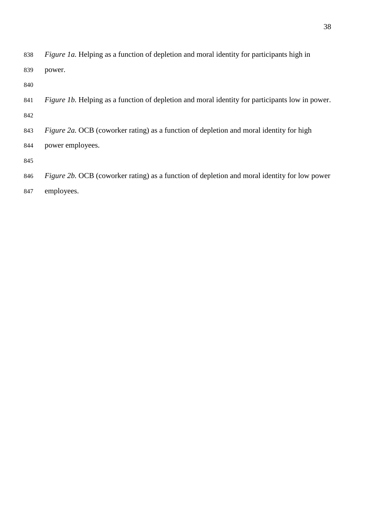*Figure 1a.* Helping as a function of depletion and moral identity for participants high in power.

 *Figure 1b.* Helping as a function of depletion and moral identity for participants low in power. 

*Figure 2a.* OCB (coworker rating) as a function of depletion and moral identity for high

power employees.

*Figure 2b.* OCB (coworker rating) as a function of depletion and moral identity for low power

employees.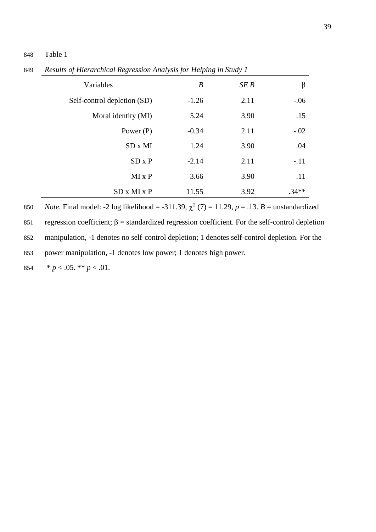# 848 Table 1

| Variables                   | B       | SE B | β       |
|-----------------------------|---------|------|---------|
| Self-control depletion (SD) | $-1.26$ | 2.11 | $-0.06$ |
| Moral identity (MI)         | 5.24    | 3.90 | .15     |
| Power $(P)$                 | $-0.34$ | 2.11 | $-.02$  |
| $SD \times MI$              | 1.24    | 3.90 | .04     |
| $SD \times P$               | $-2.14$ | 2.11 | $-.11$  |
| $MI \times P$               | 3.66    | 3.90 | .11     |
| SD x MI x P                 | 11.55   | 3.92 | $.34**$ |

849 *Results of Hierarchical Regression Analysis for Helping in Study 1*

850 *Note.* Final model: -2 log likelihood = -311.39,  $\chi^2$  (7) = 11.29, *p* = .13. *B* = unstandardized 851 regression coefficient;  $\beta$  = standardized regression coefficient. For the self-control depletion 852 manipulation, -1 denotes no self-control depletion; 1 denotes self-control depletion. For the

853 power manipulation, -1 denotes low power; 1 denotes high power.

854  $\ast p < .05. \ast \ast p < .01.$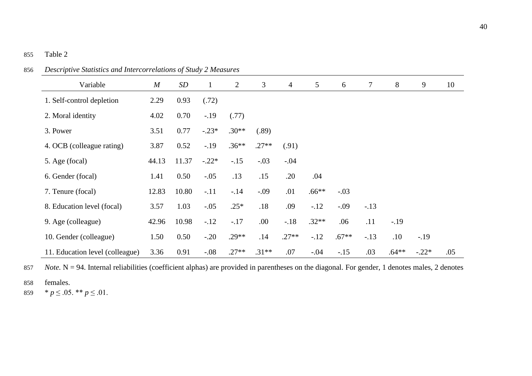| $\mathbf{r}$                    |       |                   |              |                |         |                |         |         |        |         |         |     |
|---------------------------------|-------|-------------------|--------------|----------------|---------|----------------|---------|---------|--------|---------|---------|-----|
| Variable                        | M     | $\boldsymbol{SD}$ | $\mathbf{1}$ | $\overline{2}$ | 3       | $\overline{4}$ | 5       | 6       | $\tau$ | 8       | 9       | 10  |
| 1. Self-control depletion       | 2.29  | 0.93              | (.72)        |                |         |                |         |         |        |         |         |     |
| 2. Moral identity               | 4.02  | 0.70              | $-.19$       | (.77)          |         |                |         |         |        |         |         |     |
| 3. Power                        | 3.51  | 0.77              | $-.23*$      | $.30**$        | (.89)   |                |         |         |        |         |         |     |
| 4. OCB (colleague rating)       | 3.87  | 0.52              | $-19$        | $.36**$        | $.27**$ | (.91)          |         |         |        |         |         |     |
| 5. Age (focal)                  | 44.13 | 11.37             | $-.22*$      | $-.15$         | $-.03$  | $-.04$         |         |         |        |         |         |     |
| 6. Gender (focal)               | 1.41  | 0.50              | $-.05$       | .13            | .15     | .20            | .04     |         |        |         |         |     |
| 7. Tenure (focal)               | 12.83 | 10.80             | $-.11$       | $-.14$         | $-.09$  | .01            | $.66**$ | $-.03$  |        |         |         |     |
| 8. Education level (focal)      | 3.57  | 1.03              | $-.05$       | $.25*$         | .18     | .09            | $-.12$  | $-.09$  | $-.13$ |         |         |     |
| 9. Age (colleague)              | 42.96 | 10.98             | $-12$        | $-.17$         | .00     | $-.18$         | $.32**$ | .06     | .11    | $-.19$  |         |     |
| 10. Gender (colleague)          | 1.50  | 0.50              | $-.20$       | $.29**$        | .14     | $.27**$        | $-.12$  | $.67**$ | $-.13$ | .10     | $-.19$  |     |
| 11. Education level (colleague) | 3.36  | 0.91              | $-.08$       | $.27**$        | $.31**$ | .07            | $-.04$  | $-.15$  | .03    | $.64**$ | $-.22*$ | .05 |

856 *Descriptive Statistics and Intercorrelations of Study 2 Measures*

857 *Note*. N = 94. Internal reliabilities (coefficient alphas) are provided in parentheses on the diagonal. For gender, 1 denotes males, 2 denotes

858 females.

859  $* p \leq .05.$  \*\*  $p \leq .01$ .